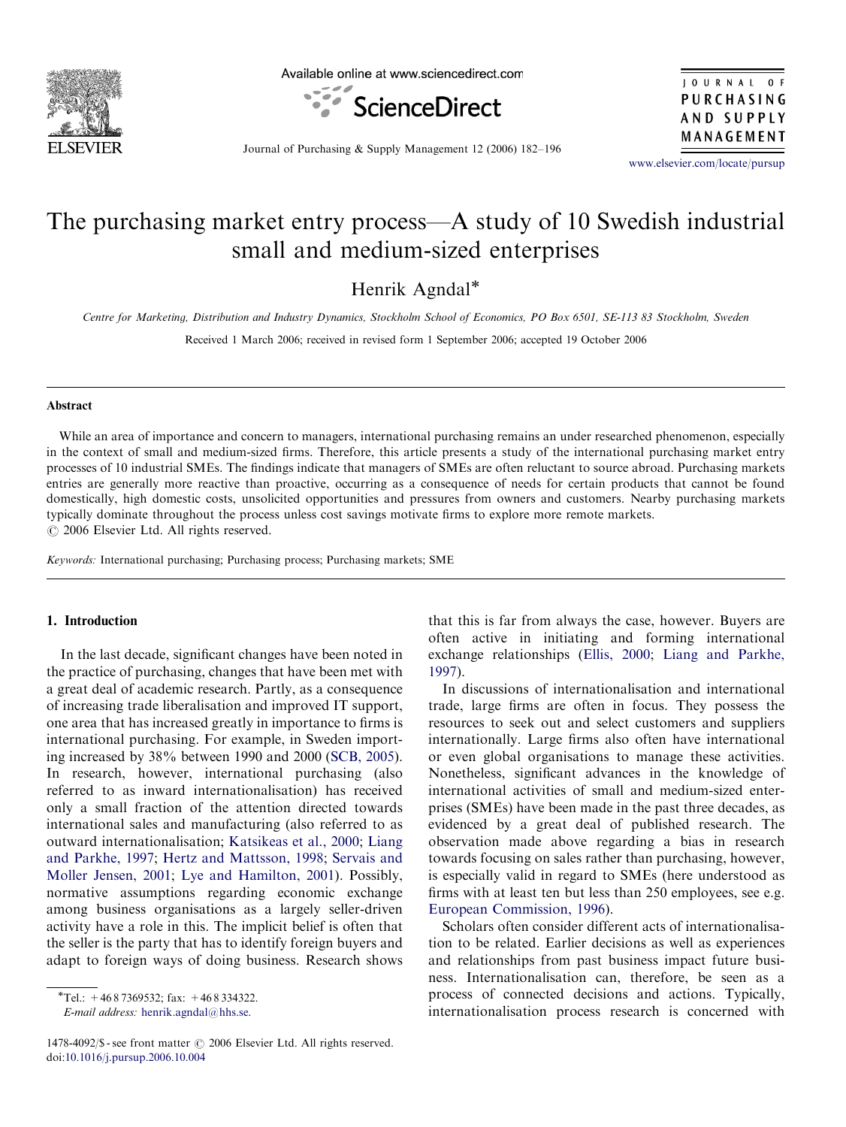

Available online at www.sciencedirect.com



JOURNAL OF PURCHASING AND SUPPLY MANAGEMENT

Journal of Purchasing & Supply Management 12 (2006) 182–196

<www.elsevier.com/locate/pursup>

## The purchasing market entry process—A study of 10 Swedish industrial small and medium-sized enterprises

Henrik Agndal\*

Centre for Marketing, Distribution and Industry Dynamics, Stockholm School of Economics, PO Box 6501, SE-113 83 Stockholm, Sweden

Received 1 March 2006; received in revised form 1 September 2006; accepted 19 October 2006

## Abstract

While an area of importance and concern to managers, international purchasing remains an under researched phenomenon, especially in the context of small and medium-sized firms. Therefore, this article presents a study of the international purchasing market entry processes of 10 industrial SMEs. The findings indicate that managers of SMEs are often reluctant to source abroad. Purchasing markets entries are generally more reactive than proactive, occurring as a consequence of needs for certain products that cannot be found domestically, high domestic costs, unsolicited opportunities and pressures from owners and customers. Nearby purchasing markets typically dominate throughout the process unless cost savings motivate firms to explore more remote markets.  $C$  2006 Elsevier Ltd. All rights reserved.

Keywords: International purchasing; Purchasing process; Purchasing markets; SME

## 1. Introduction

In the last decade, significant changes have been noted in the practice of purchasing, changes that have been met with a great deal of academic research. Partly, as a consequence of increasing trade liberalisation and improved IT support, one area that has increased greatly in importance to firms is international purchasing. For example, in Sweden importing increased by 38% between 1990 and 2000 ([SCB, 2005\)](#page--1-0). In research, however, international purchasing (also referred to as inward internationalisation) has received only a small fraction of the attention directed towards international sales and manufacturing (also referred to as outward internationalisation; [Katsikeas et al., 2000](#page--1-0); [Liang](#page--1-0) [and Parkhe, 1997;](#page--1-0) [Hertz and Mattsson, 1998;](#page--1-0) [Servais and](#page--1-0) [Moller Jensen, 2001;](#page--1-0) [Lye and Hamilton, 2001\)](#page--1-0). Possibly, normative assumptions regarding economic exchange among business organisations as a largely seller-driven activity have a role in this. The implicit belief is often that the seller is the party that has to identify foreign buyers and adapt to foreign ways of doing business. Research shows

E-mail address: [henrik.agndal@hhs.se.](mailto:henrik.agndal@hhs.se)

 $1478-4092$ /\$ - see front matter  $\odot$  2006 Elsevier Ltd. All rights reserved. doi:[10.1016/j.pursup.2006.10.004](dx.doi.org/10.1016/j.pursup.2006.10.004)

that this is far from always the case, however. Buyers are often active in initiating and forming international exchange relationships ([Ellis, 2000](#page--1-0); [Liang and Parkhe,](#page--1-0) [1997\)](#page--1-0).

In discussions of internationalisation and international trade, large firms are often in focus. They possess the resources to seek out and select customers and suppliers internationally. Large firms also often have international or even global organisations to manage these activities. Nonetheless, significant advances in the knowledge of international activities of small and medium-sized enterprises (SMEs) have been made in the past three decades, as evidenced by a great deal of published research. The observation made above regarding a bias in research towards focusing on sales rather than purchasing, however, is especially valid in regard to SMEs (here understood as firms with at least ten but less than 250 employees, see e.g. [European Commission, 1996](#page--1-0)).

Scholars often consider different acts of internationalisation to be related. Earlier decisions as well as experiences and relationships from past business impact future business. Internationalisation can, therefore, be seen as a process of connected decisions and actions. Typically, internationalisation process research is concerned with

 $\overline{\text{F} \text{Tel}}$ : +46 8 7369532; fax: +46 8 334322.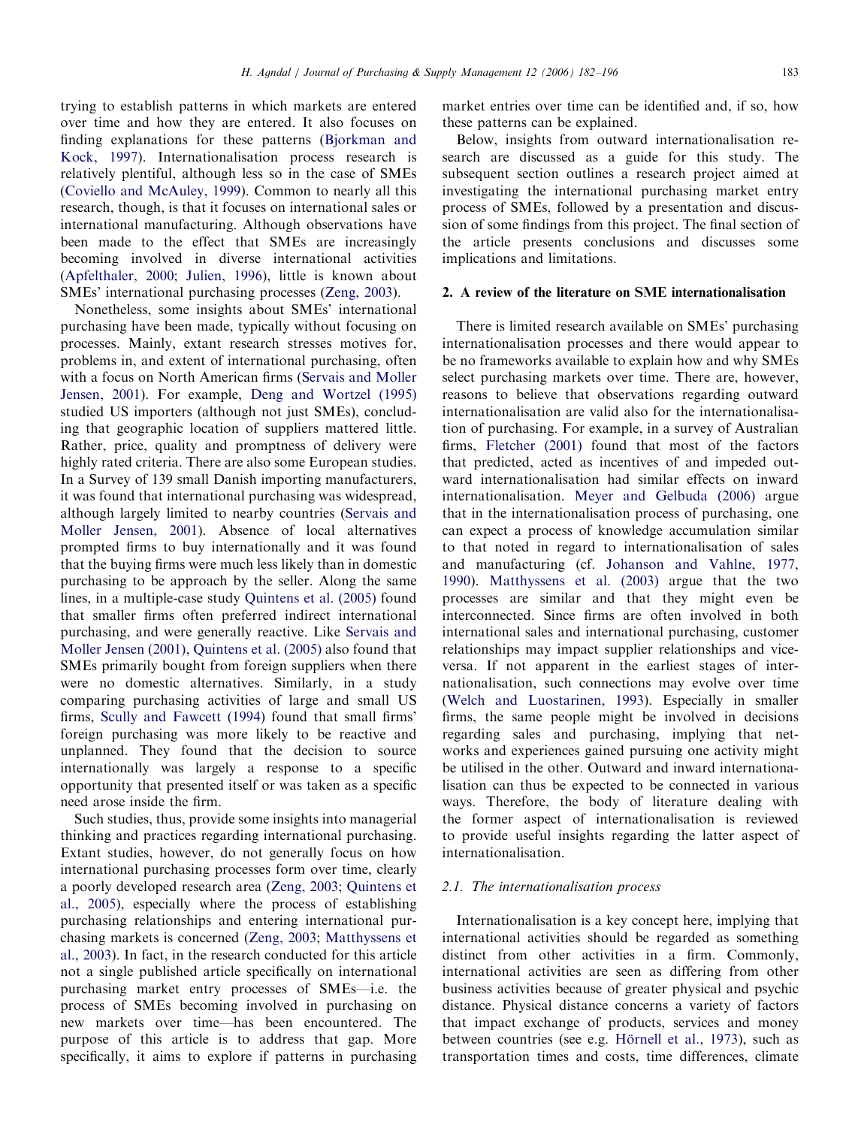trying to establish patterns in which markets are entered over time and how they are entered. It also focuses on finding explanations for these patterns ([Bjorkman and](#page--1-0) [Kock, 1997](#page--1-0)). Internationalisation process research is relatively plentiful, although less so in the case of SMEs ([Coviello and McAuley, 1999\)](#page--1-0). Common to nearly all this research, though, is that it focuses on international sales or international manufacturing. Although observations have been made to the effect that SMEs are increasingly becoming involved in diverse international activities ([Apfelthaler, 2000;](#page--1-0) [Julien, 1996\)](#page--1-0), little is known about SMEs' international purchasing processes [\(Zeng, 2003\)](#page--1-0).

Nonetheless, some insights about SMEs' international purchasing have been made, typically without focusing on processes. Mainly, extant research stresses motives for, problems in, and extent of international purchasing, often with a focus on North American firms ([Servais and Moller](#page--1-0) [Jensen, 2001\)](#page--1-0). For example, [Deng and Wortzel \(1995\)](#page--1-0) studied US importers (although not just SMEs), concluding that geographic location of suppliers mattered little. Rather, price, quality and promptness of delivery were highly rated criteria. There are also some European studies. In a Survey of 139 small Danish importing manufacturers, it was found that international purchasing was widespread, although largely limited to nearby countries [\(Servais and](#page--1-0) [Moller Jensen, 2001](#page--1-0)). Absence of local alternatives prompted firms to buy internationally and it was found that the buying firms were much less likely than in domestic purchasing to be approach by the seller. Along the same lines, in a multiple-case study [Quintens et al. \(2005\)](#page--1-0) found that smaller firms often preferred indirect international purchasing, and were generally reactive. Like [Servais and](#page--1-0) [Moller Jensen \(2001\)](#page--1-0), [Quintens et al. \(2005\)](#page--1-0) also found that SMEs primarily bought from foreign suppliers when there were no domestic alternatives. Similarly, in a study comparing purchasing activities of large and small US firms, [Scully and Fawcett \(1994\)](#page--1-0) found that small firms' foreign purchasing was more likely to be reactive and unplanned. They found that the decision to source internationally was largely a response to a specific opportunity that presented itself or was taken as a specific need arose inside the firm.

Such studies, thus, provide some insights into managerial thinking and practices regarding international purchasing. Extant studies, however, do not generally focus on how international purchasing processes form over time, clearly a poorly developed research area ([Zeng, 2003](#page--1-0); [Quintens et](#page--1-0) [al., 2005\)](#page--1-0), especially where the process of establishing purchasing relationships and entering international purchasing markets is concerned [\(Zeng, 2003;](#page--1-0) [Matthyssens et](#page--1-0) [al., 2003](#page--1-0)). In fact, in the research conducted for this article not a single published article specifically on international purchasing market entry processes of SMEs—i.e. the process of SMEs becoming involved in purchasing on new markets over time—has been encountered. The purpose of this article is to address that gap. More specifically, it aims to explore if patterns in purchasing market entries over time can be identified and, if so, how these patterns can be explained.

Below, insights from outward internationalisation research are discussed as a guide for this study. The subsequent section outlines a research project aimed at investigating the international purchasing market entry process of SMEs, followed by a presentation and discussion of some findings from this project. The final section of the article presents conclusions and discusses some implications and limitations.

#### 2. A review of the literature on SME internationalisation

There is limited research available on SMEs' purchasing internationalisation processes and there would appear to be no frameworks available to explain how and why SMEs select purchasing markets over time. There are, however, reasons to believe that observations regarding outward internationalisation are valid also for the internationalisation of purchasing. For example, in a survey of Australian firms, [Fletcher \(2001\)](#page--1-0) found that most of the factors that predicted, acted as incentives of and impeded outward internationalisation had similar effects on inward internationalisation. [Meyer and Gelbuda \(2006\)](#page--1-0) argue that in the internationalisation process of purchasing, one can expect a process of knowledge accumulation similar to that noted in regard to internationalisation of sales and manufacturing (cf. [Johanson and Vahlne, 1977,](#page--1-0) [1990](#page--1-0)). [Matthyssens et al. \(2003\)](#page--1-0) argue that the two processes are similar and that they might even be interconnected. Since firms are often involved in both international sales and international purchasing, customer relationships may impact supplier relationships and viceversa. If not apparent in the earliest stages of internationalisation, such connections may evolve over time ([Welch and Luostarinen, 1993](#page--1-0)). Especially in smaller firms, the same people might be involved in decisions regarding sales and purchasing, implying that networks and experiences gained pursuing one activity might be utilised in the other. Outward and inward internationalisation can thus be expected to be connected in various ways. Therefore, the body of literature dealing with the former aspect of internationalisation is reviewed to provide useful insights regarding the latter aspect of internationalisation.

## 2.1. The internationalisation process

Internationalisation is a key concept here, implying that international activities should be regarded as something distinct from other activities in a firm. Commonly, international activities are seen as differing from other business activities because of greater physical and psychic distance. Physical distance concerns a variety of factors that impact exchange of products, services and money between countries (see e.g. Hörnell et al., 1973), such as transportation times and costs, time differences, climate